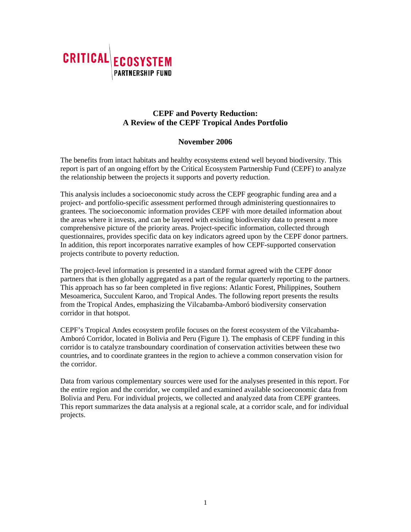

# **CEPF and Poverty Reduction: A Review of the CEPF Tropical Andes Portfolio**

## **November 2006**

The benefits from intact habitats and healthy ecosystems extend well beyond biodiversity. This report is part of an ongoing effort by the Critical Ecosystem Partnership Fund (CEPF) to analyze the relationship between the projects it supports and poverty reduction.

This analysis includes a socioeconomic study across the CEPF geographic funding area and a project- and portfolio-specific assessment performed through administering questionnaires to grantees. The socioeconomic information provides CEPF with more detailed information about the areas where it invests, and can be layered with existing biodiversity data to present a more comprehensive picture of the priority areas. Project-specific information, collected through questionnaires, provides specific data on key indicators agreed upon by the CEPF donor partners. In addition, this report incorporates narrative examples of how CEPF-supported conservation projects contribute to poverty reduction.

The project-level information is presented in a standard format agreed with the CEPF donor partners that is then globally aggregated as a part of the regular quarterly reporting to the partners. This approach has so far been completed in five regions: Atlantic Forest, Philippines, Southern Mesoamerica, Succulent Karoo, and Tropical Andes. The following report presents the results from the Tropical Andes, emphasizing the Vilcabamba-Amboró biodiversity conservation corridor in that hotspot.

CEPF's Tropical Andes ecosystem profile focuses on the forest ecosystem of the Vilcabamba-Amboró Corridor, located in Bolivia and Peru (Figure 1). The emphasis of CEPF funding in this corridor is to catalyze transboundary coordination of conservation activities between these two countries, and to coordinate grantees in the region to achieve a common conservation vision for the corridor.

Data from various complementary sources were used for the analyses presented in this report. For the entire region and the corridor, we compiled and examined available socioeconomic data from Bolivia and Peru. For individual projects, we collected and analyzed data from CEPF grantees. This report summarizes the data analysis at a regional scale, at a corridor scale, and for individual projects.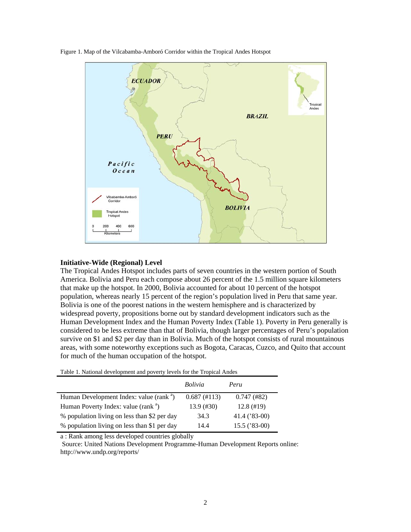Figure 1. Map of the Vilcabamba-Amboró Corridor within the Tropical Andes Hotspot



### **Initiative-Wide (Regional) Level**

The Tropical Andes Hotspot includes parts of seven countries in the western portion of South America. Bolivia and Peru each compose about 26 percent of the 1.5 million square kilometers that make up the hotspot. In 2000, Bolivia accounted for about 10 percent of the hotspot population, whereas nearly 15 percent of the region's population lived in Peru that same year. Bolivia is one of the poorest nations in the western hemisphere and is characterized by widespread poverty, propositions borne out by standard development indicators such as the Human Development Index and the Human Poverty Index (Table 1). Poverty in Peru generally is considered to be less extreme than that of Bolivia, though larger percentages of Peru's population survive on \$1 and \$2 per day than in Bolivia. Much of the hotspot consists of rural mountainous areas, with some noteworthy exceptions such as Bogota, Caracas, Cuzco, and Quito that account for much of the human occupation of the hotspot.

|  | Table 1. National development and poverty levels for the Tropical Andes |
|--|-------------------------------------------------------------------------|
|  |                                                                         |
|  |                                                                         |
|  |                                                                         |

|                                                     | <i>Bolivia</i> | Peru            |
|-----------------------------------------------------|----------------|-----------------|
| Human Development Index: value (rank <sup>a</sup> ) | $0.687$ (#113) | $0.747$ (#82)   |
| Human Poverty Index: value (rank <sup>a</sup> )     | $13.9$ (#30)   | $12.8$ (#19)    |
| % population living on less than \$2 per day        | 34.3           | 41.4 ('83-00)   |
| % population living on less than \$1 per day        | 14.4           | $15.5$ ('83-00) |

a : Rank among less developed countries globally

 Source: United Nations Development Programme-Human Development Reports online: http://www.undp.org/reports/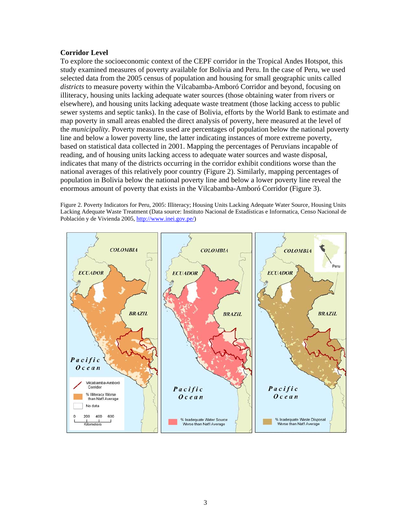### **Corridor Level**

To explore the socioeconomic context of the CEPF corridor in the Tropical Andes Hotspot, this study examined measures of poverty available for Bolivia and Peru. In the case of Peru, we used selected data from the 2005 census of population and housing for small geographic units called *districts* to measure poverty within the Vilcabamba-Amboró Corridor and beyond, focusing on illiteracy, housing units lacking adequate water sources (those obtaining water from rivers or elsewhere), and housing units lacking adequate waste treatment (those lacking access to public sewer systems and septic tanks). In the case of Bolivia, efforts by the World Bank to estimate and map poverty in small areas enabled the direct analysis of poverty, here measured at the level of the *municipality*. Poverty measures used are percentages of population below the national poverty line and below a lower poverty line, the latter indicating instances of more extreme poverty, based on statistical data collected in 2001. Mapping the percentages of Peruvians incapable of reading, and of housing units lacking access to adequate water sources and waste disposal, indicates that many of the districts occurring in the corridor exhibit conditions worse than the national averages of this relatively poor country (Figure 2). Similarly, mapping percentages of population in Bolivia below the national poverty line and below a lower poverty line reveal the enormous amount of poverty that exists in the Vilcabamba-Amboró Corridor (Figure 3).

Figure 2. Poverty Indicators for Peru, 2005: Illiteracy; Housing Units Lacking Adequate Water Source, Housing Units Lacking Adequate Waste Treatment (Data source: Instituto Nacional de Estadísticas e Informatica, Censo Nacional de Población y de Vivienda 2005, http://www.inei.gov.pe/)

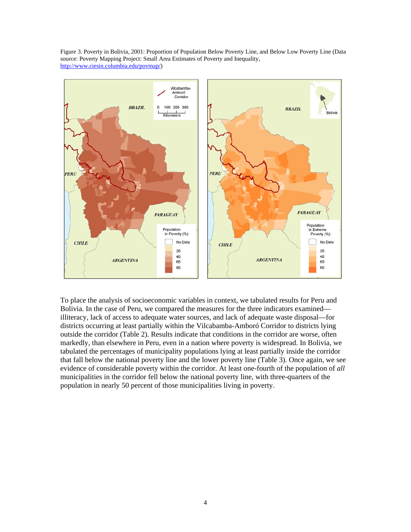Figure 3. Poverty in Bolivia, 2001: Proportion of Population Below Poverty Line, and Below Low Poverty Line (Data source: Poverty Mapping Project: Small Area Estimates of Poverty and Inequality, http://www.ciesin.columbia.edu/povmap/)



To place the analysis of socioeconomic variables in context, we tabulated results for Peru and Bolivia. In the case of Peru, we compared the measures for the three indicators examined illiteracy, lack of access to adequate water sources, and lack of adequate waste disposal—for districts occurring at least partially within the Vilcabamba-Amboró Corridor to districts lying outside the corridor (Table 2). Results indicate that conditions in the corridor are worse, often markedly, than elsewhere in Peru, even in a nation where poverty is widespread. In Bolivia, we tabulated the percentages of municipality populations lying at least partially inside the corridor that fall below the national poverty line and the lower poverty line (Table 3). Once again, we see evidence of considerable poverty within the corridor. At least one-fourth of the population of *all* municipalities in the corridor fell below the national poverty line, with three-quarters of the population in nearly 50 percent of those municipalities living in poverty.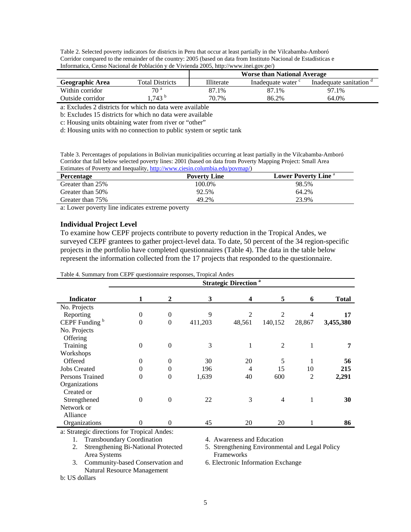| Table 2. Selected poverty indicators for districts in Peru that occur at least partially in the Vilcabamba-Amboró |
|-------------------------------------------------------------------------------------------------------------------|
| Corridor compared to the remainder of the country: 2005 (based on data from Instituto Nacional de Estadísticas e  |
| Informatica, Censo Nacional de Población y de Vivienda 2005, http://www.inei.gov.pe/)                             |

|                        |                        | <b>Worse than National Average</b> |                  |                       |
|------------------------|------------------------|------------------------------------|------------------|-----------------------|
| <b>Geographic Area</b> | <b>Total Districts</b> | Illiterate                         | Inadequate water | Inadequate sanitation |
| Within corridor        | 70 <sup>a</sup>        | 87.1%                              | 87.1%            | 97.1%                 |
| Outside corridor       | $.743$ $^{\circ}$      | 70.7%                              | 86.2%            | 64.0%                 |

a: Excludes 2 districts for which no data were available

b: Excludes 15 districts for which no data were available

c: Housing units obtaining water from river or "other"

d: Housing units with no connection to public system or septic tank

Table 3. Percentages of populations in Bolivian municipalities occurring at least partially in the Vilcabamba-Amboró Corridor that fall below selected poverty lines: 2001 (based on data from Poverty Mapping Project: Small Area Estimates of Poverty and Inequality, http://www.ciesin.columbia.edu/povmap/)

| Percentage       | <b>Poverty Line</b> | <b>Lower Poverty Line "</b> |
|------------------|---------------------|-----------------------------|
| Greater than 25% | 100.0%              | 98.5%                       |
| Greater than 50% | 92.5%               | 64.2%                       |
| Greater than 75% | 49.2%               | 23.9%                       |

a: Lower poverty line indicates extreme poverty

#### **Individual Project Level**

To examine how CEPF projects contribute to poverty reduction in the Tropical Andes, we surveyed CEPF grantees to gather project-level data. To date, 50 percent of the 34 region-specific projects in the portfolio have completed questionnaires (Table 4). The data in the table below represent the information collected from the 17 projects that responded to the questionnaire.

| <b>Indicator</b>          | <b>Strategic Direction</b> <sup>a</sup> |                  |         |                |                |        |              |
|---------------------------|-----------------------------------------|------------------|---------|----------------|----------------|--------|--------------|
|                           | 1                                       | 2                | 3       | 4              | 5              | 6      | <b>Total</b> |
| No. Projects              |                                         |                  |         |                |                |        |              |
| Reporting                 | $\boldsymbol{0}$                        | $\boldsymbol{0}$ | 9       | $\overline{2}$ | 2              | 4      | 17           |
| CEPF Funding <sup>b</sup> | $\overline{0}$                          | $\boldsymbol{0}$ | 411,203 | 48,561         | 140,152        | 28,867 | 3,455,380    |
| No. Projects              |                                         |                  |         |                |                |        |              |
| Offering                  |                                         |                  |         |                |                |        |              |
| Training                  | $\overline{0}$                          | $\theta$         | 3       | 1              | 2              | 1      | 7            |
| Workshops                 |                                         |                  |         |                |                |        |              |
| Offered                   | $\theta$                                | 0                | 30      | 20             | 5              |        | 56           |
| <b>Jobs Created</b>       | $\mathbf{0}$                            | 0                | 196     | 4              | 15             | 10     | 215          |
| Persons Trained           | $\theta$                                | 0                | 1,639   | 40             | 600            | 2      | 2,291        |
| Organizations             |                                         |                  |         |                |                |        |              |
| Created or                |                                         |                  |         |                |                |        |              |
| Strengthened              | $\overline{0}$                          | $\theta$         | 22      | 3              | $\overline{4}$ | 1      | 30           |
| Network or<br>Alliance    |                                         |                  |         |                |                |        |              |
| Organizations             | $\Omega$                                | 0                | 45      | 20             | 20             |        | 86           |

a: Strategic directions for Tropical Andes:

1. Transboundary Coordination 4. Awareness and Education

2. Strengthening Bi-National Protected 5. Strengthening Environmental and Legal Policy Area Systems Frameworks

3. Community-based Conservation and 6. Electronic Information Exchange Natural Resource Management

b: US dollars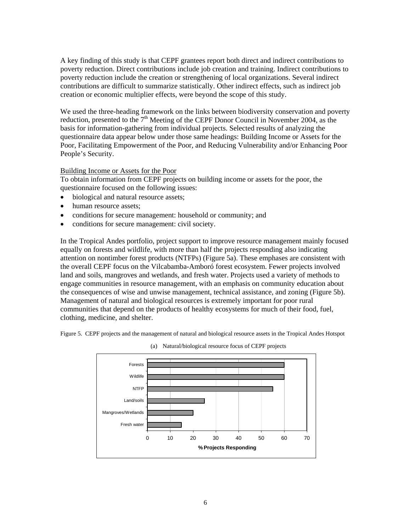A key finding of this study is that CEPF grantees report both direct and indirect contributions to poverty reduction. Direct contributions include job creation and training. Indirect contributions to poverty reduction include the creation or strengthening of local organizations. Several indirect contributions are difficult to summarize statistically. Other indirect effects, such as indirect job creation or economic multiplier effects, were beyond the scope of this study.

We used the three-heading framework on the links between biodiversity conservation and poverty reduction, presented to the  $7<sup>th</sup>$  Meeting of the CEPF Donor Council in November 2004, as the basis for information-gathering from individual projects. Selected results of analyzing the questionnaire data appear below under those same headings: Building Income or Assets for the Poor, Facilitating Empowerment of the Poor, and Reducing Vulnerability and/or Enhancing Poor People's Security.

## Building Income or Assets for the Poor

To obtain information from CEPF projects on building income or assets for the poor, the questionnaire focused on the following issues:

- biological and natural resource assets:
- human resource assets;
- conditions for secure management: household or community; and
- conditions for secure management: civil society.

In the Tropical Andes portfolio, project support to improve resource management mainly focused equally on forests and wildlife, with more than half the projects responding also indicating attention on nontimber forest products (NTFPs) (Figure 5a). These emphases are consistent with the overall CEPF focus on the Vilcabamba-Amboró forest ecosystem. Fewer projects involved land and soils, mangroves and wetlands, and fresh water. Projects used a variety of methods to engage communities in resource management, with an emphasis on community education about the consequences of wise and unwise management, technical assistance, and zoning (Figure 5b). Management of natural and biological resources is extremely important for poor rural communities that depend on the products of healthy ecosystems for much of their food, fuel, clothing, medicine, and shelter.

Figure 5. CEPF projects and the management of natural and biological resource assets in the Tropical Andes Hotspot



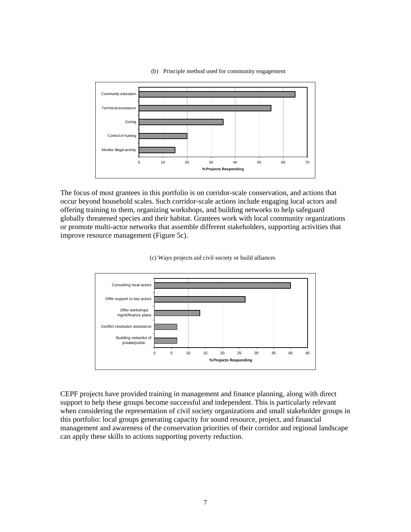

#### (b) Principle method used for community engagement

The focus of most grantees in this portfolio is on corridor-scale conservation, and actions that occur beyond household scales. Such corridor-scale actions include engaging local actors and offering training to them, organizing workshops, and building networks to help safeguard globally threatened species and their habitat. Grantees work with local community organizations or promote multi-actor networks that assemble different stakeholders, supporting activities that improve resource management (Figure 5c).





CEPF projects have provided training in management and finance planning, along with direct support to help these groups become successful and independent. This is particularly relevant when considering the representation of civil society organizations and small stakeholder groups in this portfolio: local groups generating capacity for sound resource, project, and financial management and awareness of the conservation priorities of their corridor and regional landscape can apply these skills to actions supporting poverty reduction.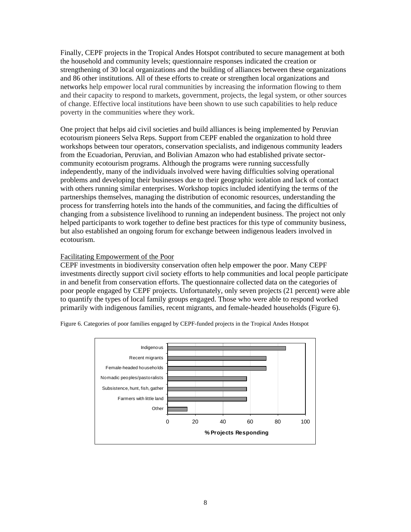Finally, CEPF projects in the Tropical Andes Hotspot contributed to secure management at both the household and community levels; questionnaire responses indicated the creation or strengthening of 30 local organizations and the building of alliances between these organizations and 86 other institutions. All of these efforts to create or strengthen local organizations and networks help empower local rural communities by increasing the information flowing to them and their capacity to respond to markets, government, projects, the legal system, or other sources of change. Effective local institutions have been shown to use such capabilities to help reduce poverty in the communities where they work.

One project that helps aid civil societies and build alliances is being implemented by Peruvian ecotourism pioneers Selva Reps. Support from CEPF enabled the organization to hold three workshops between tour operators, conservation specialists, and indigenous community leaders from the Ecuadorian, Peruvian, and Bolivian Amazon who had established private sectorcommunity ecotourism programs. Although the programs were running successfully independently, many of the individuals involved were having difficulties solving operational problems and developing their businesses due to their geographic isolation and lack of contact with others running similar enterprises. Workshop topics included identifying the terms of the partnerships themselves, managing the distribution of economic resources, understanding the process for transferring hotels into the hands of the communities, and facing the difficulties of changing from a subsistence livelihood to running an independent business. The project not only helped participants to work together to define best practices for this type of community business, but also established an ongoing forum for exchange between indigenous leaders involved in ecotourism.

## Facilitating Empowerment of the Poor

CEPF investments in biodiversity conservation often help empower the poor. Many CEPF investments directly support civil society efforts to help communities and local people participate in and benefit from conservation efforts. The questionnaire collected data on the categories of poor people engaged by CEPF projects. Unfortunately, only seven projects (21 percent) were able to quantify the types of local family groups engaged. Those who were able to respond worked primarily with indigenous families, recent migrants, and female-headed households (Figure 6).

Figure 6. Categories of poor families engaged by CEPF-funded projects in the Tropical Andes Hotspot

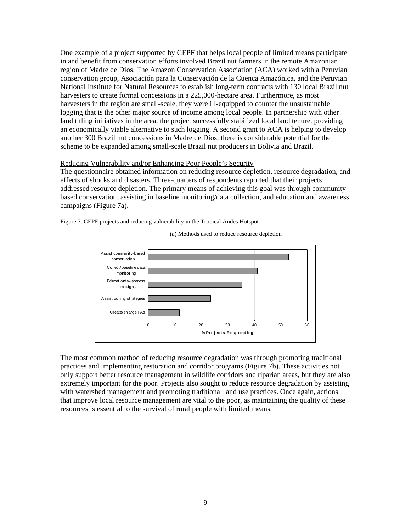One example of a project supported by CEPF that helps local people of limited means participate in and benefit from conservation efforts involved Brazil nut farmers in the remote Amazonian region of Madre de Dios. The Amazon Conservation Association (ACA) worked with a Peruvian conservation group, Asociación para la Conservación de la Cuenca Amazónica, and the Peruvian National Institute for Natural Resources to establish long-term contracts with 130 local Brazil nut harvesters to create formal concessions in a 225,000-hectare area. Furthermore, as most harvesters in the region are small-scale, they were ill-equipped to counter the unsustainable logging that is the other major source of income among local people. In partnership with other land titling initiatives in the area, the project successfully stabilized local land tenure, providing an economically viable alternative to such logging. A second grant to ACA is helping to develop another 300 Brazil nut concessions in Madre de Dios; there is considerable potential for the scheme to be expanded among small-scale Brazil nut producers in Bolivia and Brazil.

#### Reducing Vulnerability and/or Enhancing Poor People's Security

The questionnaire obtained information on reducing resource depletion, resource degradation, and effects of shocks and disasters. Three-quarters of respondents reported that their projects addressed resource depletion. The primary means of achieving this goal was through communitybased conservation, assisting in baseline monitoring/data collection, and education and awareness campaigns (Figure 7a).

Figure 7. CEPF projects and reducing vulnerability in the Tropical Andes Hotspot



(a) Methods used to reduce resource depletion

The most common method of reducing resource degradation was through promoting traditional practices and implementing restoration and corridor programs (Figure 7b). These activities not only support better resource management in wildlife corridors and riparian areas, but they are also extremely important for the poor. Projects also sought to reduce resource degradation by assisting with watershed management and promoting traditional land use practices. Once again, actions that improve local resource management are vital to the poor, as maintaining the quality of these resources is essential to the survival of rural people with limited means.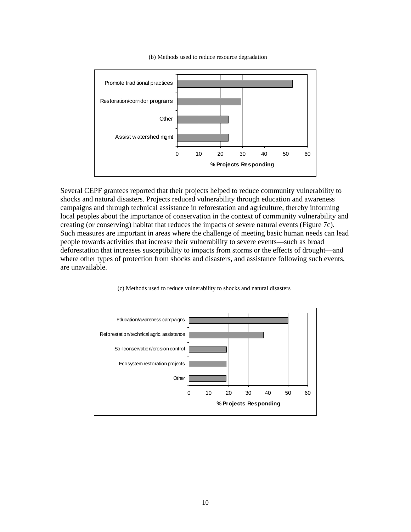

(b) Methods used to reduce resource degradation

Several CEPF grantees reported that their projects helped to reduce community vulnerability to shocks and natural disasters. Projects reduced vulnerability through education and awareness campaigns and through technical assistance in reforestation and agriculture, thereby informing local peoples about the importance of conservation in the context of community vulnerability and creating (or conserving) habitat that reduces the impacts of severe natural events (Figure 7c). Such measures are important in areas where the challenge of meeting basic human needs can lead people towards activities that increase their vulnerability to severe events—such as broad deforestation that increases susceptibility to impacts from storms or the effects of drought—and where other types of protection from shocks and disasters, and assistance following such events, are unavailable.